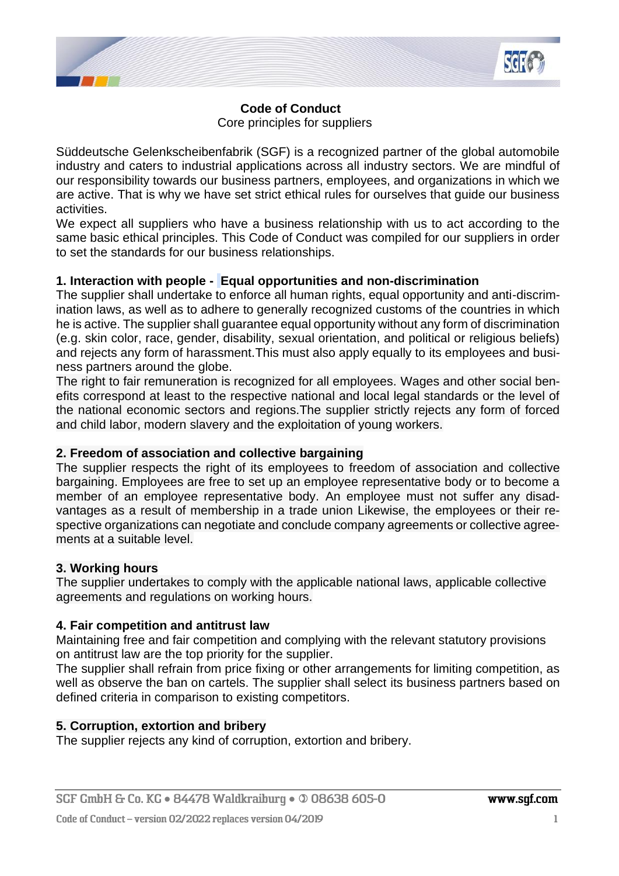

# **Code of Conduct**

Core principles for suppliers

Süddeutsche Gelenkscheibenfabrik (SGF) is a recognized partner of the global automobile industry and caters to industrial applications across all industry sectors. We are mindful of our responsibility towards our business partners, employees, and organizations in which we are active. That is why we have set strict ethical rules for ourselves that guide our business activities.

We expect all suppliers who have a business relationship with us to act according to the same basic ethical principles. This Code of Conduct was compiled for our suppliers in order to set the standards for our business relationships.

## **1. Interaction with people - Equal opportunities and non-discrimination**

The supplier shall undertake to enforce all human rights, equal opportunity and anti-discrimination laws, as well as to adhere to generally recognized customs of the countries in which he is active. The supplier shall guarantee equal opportunity without any form of discrimination (e.g. skin color, race, gender, disability, sexual orientation, and political or religious beliefs) and rejects any form of harassment.This must also apply equally to its employees and business partners around the globe.

The right to fair remuneration is recognized for all employees. Wages and other social benefits correspond at least to the respective national and local legal standards or the level of the national economic sectors and regions.The supplier strictly rejects any form of forced and child labor, modern slavery and the exploitation of young workers.

## **2. Freedom of association and collective bargaining**

The supplier respects the right of its employees to freedom of association and collective bargaining. Employees are free to set up an employee representative body or to become a member of an employee representative body. An employee must not suffer any disadvantages as a result of membership in a trade union Likewise, the employees or their respective organizations can negotiate and conclude company agreements or collective agreements at a suitable level.

## **3. Working hours**

The supplier undertakes to comply with the applicable national laws, applicable collective agreements and regulations on working hours.

## **4. Fair competition and antitrust law**

Maintaining free and fair competition and complying with the relevant statutory provisions on antitrust law are the top priority for the supplier.

The supplier shall refrain from price fixing or other arrangements for limiting competition, as well as observe the ban on cartels. The supplier shall select its business partners based on defined criteria in comparison to existing competitors.

# **5. Corruption, extortion and bribery**

The supplier rejects any kind of corruption, extortion and bribery.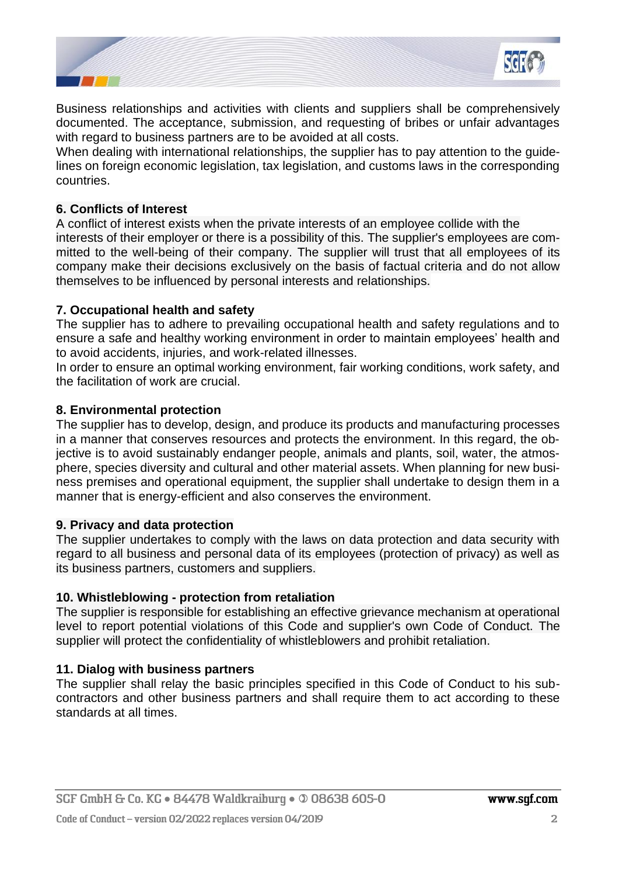

Business relationships and activities with clients and suppliers shall be comprehensively documented. The acceptance, submission, and requesting of bribes or unfair advantages with regard to business partners are to be avoided at all costs.

When dealing with international relationships, the supplier has to pay attention to the guidelines on foreign economic legislation, tax legislation, and customs laws in the corresponding countries.

#### **6. Conflicts of Interest**

A conflict of interest exists when the private interests of an employee collide with the interests of their employer or there is a possibility of this. The supplier's employees are committed to the well-being of their company. The supplier will trust that all employees of its company make their decisions exclusively on the basis of factual criteria and do not allow themselves to be influenced by personal interests and relationships.

## **7. Occupational health and safety**

The supplier has to adhere to prevailing occupational health and safety regulations and to ensure a safe and healthy working environment in order to maintain employees' health and to avoid accidents, injuries, and work-related illnesses.

In order to ensure an optimal working environment, fair working conditions, work safety, and the facilitation of work are crucial.

#### **8. Environmental protection**

The supplier has to develop, design, and produce its products and manufacturing processes in a manner that conserves resources and protects the environment. In this regard, the objective is to avoid sustainably endanger people, animals and plants, soil, water, the atmosphere, species diversity and cultural and other material assets. When planning for new business premises and operational equipment, the supplier shall undertake to design them in a manner that is energy-efficient and also conserves the environment.

#### **9. Privacy and data protection**

The supplier undertakes to comply with the laws on data protection and data security with regard to all business and personal data of its employees (protection of privacy) as well as its business partners, customers and suppliers.

#### **10. Whistleblowing - protection from retaliation**

The supplier is responsible for establishing an effective grievance mechanism at operational level to report potential violations of this Code and supplier's own Code of Conduct. The supplier will protect the confidentiality of whistleblowers and prohibit retaliation.

#### **11. Dialog with business partners**

The supplier shall relay the basic principles specified in this Code of Conduct to his subcontractors and other business partners and shall require them to act according to these standards at all times.